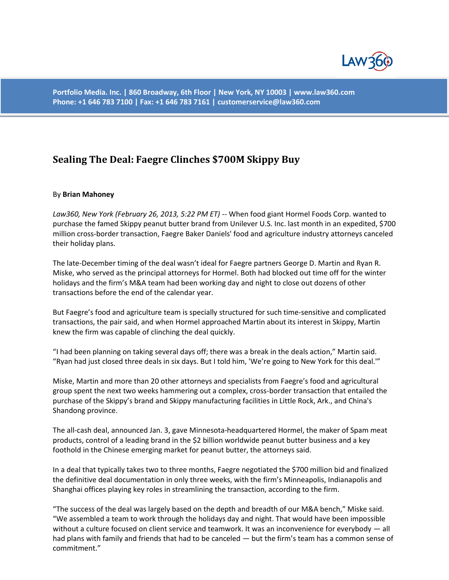

**Portfolio Media. Inc. | 860 Broadway, 6th Floor | New York, NY 10003 | www.law360.com Phone: +1 646 783 7100 | Fax: +1 646 783 7161 | customerservice@law360.com**

## **Sealing The Deal: Faegre Clinches \$700M Skippy Buy**

## By **Brian Mahoney**

*Law360, New York (February 26, 2013, 5:22 PM ET)* -- When food giant Hormel Foods Corp. wanted to purchase the famed Skippy peanut butter brand from Unilever U.S. Inc. last month in an expedited, \$700 million cross-border transaction, Faegre Baker Daniels' food and agriculture industry attorneys canceled their holiday plans.

The late-December timing of the deal wasn't ideal for Faegre partners George D. Martin and Ryan R. Miske, who served as the principal attorneys for Hormel. Both had blocked out time off for the winter holidays and the firm's M&A team had been working day and night to close out dozens of other transactions before the end of the calendar year.

But Faegre's food and agriculture team is specially structured for such time-sensitive and complicated transactions, the pair said, and when Hormel approached Martin about its interest in Skippy, Martin knew the firm was capable of clinching the deal quickly.

"I had been planning on taking several days off; there was a break in the deals action," Martin said. "Ryan had just closed three deals in six days. But I told him, 'We're going to New York for this deal.'"

Miske, Martin and more than 20 other attorneys and specialists from Faegre's food and agricultural group spent the next two weeks hammering out a complex, cross-border transaction that entailed the purchase of the Skippy's brand and Skippy manufacturing facilities in Little Rock, Ark., and China's Shandong province.

The all-cash deal, announced Jan. 3, gave Minnesota-headquartered Hormel, the maker of Spam meat products, control of a leading brand in the \$2 billion worldwide peanut butter business and a key foothold in the Chinese emerging market for peanut butter, the attorneys said.

In a deal that typically takes two to three months, Faegre negotiated the \$700 million bid and finalized the definitive deal documentation in only three weeks, with the firm's Minneapolis, Indianapolis and Shanghai offices playing key roles in streamlining the transaction, according to the firm.

"The success of the deal was largely based on the depth and breadth of our M&A bench," Miske said. "We assembled a team to work through the holidays day and night. That would have been impossible without a culture focused on client service and teamwork. It was an inconvenience for everybody — all had plans with family and friends that had to be canceled — but the firm's team has a common sense of commitment."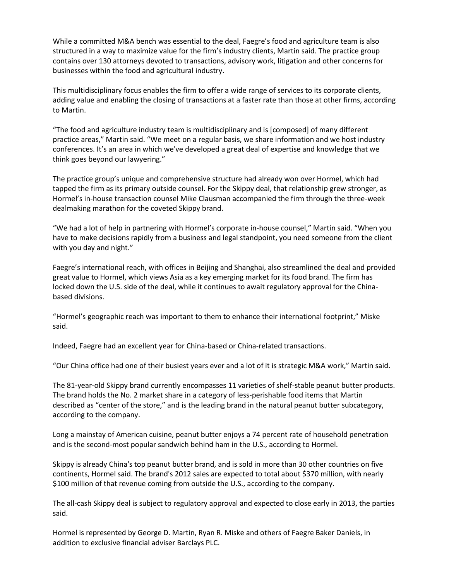While a committed M&A bench was essential to the deal, Faegre's food and agriculture team is also structured in a way to maximize value for the firm's industry clients, Martin said. The practice group contains over 130 attorneys devoted to transactions, advisory work, litigation and other concerns for businesses within the food and agricultural industry.

This multidisciplinary focus enables the firm to offer a wide range of services to its corporate clients, adding value and enabling the closing of transactions at a faster rate than those at other firms, according to Martin.

"The food and agriculture industry team is multidisciplinary and is [composed] of many different practice areas," Martin said. "We meet on a regular basis, we share information and we host industry conferences. It's an area in which we've developed a great deal of expertise and knowledge that we think goes beyond our lawyering."

The practice group's unique and comprehensive structure had already won over Hormel, which had tapped the firm as its primary outside counsel. For the Skippy deal, that relationship grew stronger, as Hormel's in-house transaction counsel Mike Clausman accompanied the firm through the three-week dealmaking marathon for the coveted Skippy brand.

"We had a lot of help in partnering with Hormel's corporate in-house counsel," Martin said. "When you have to make decisions rapidly from a business and legal standpoint, you need someone from the client with you day and night."

Faegre's international reach, with offices in Beijing and Shanghai, also streamlined the deal and provided great value to Hormel, which views Asia as a key emerging market for its food brand. The firm has locked down the U.S. side of the deal, while it continues to await regulatory approval for the Chinabased divisions.

"Hormel's geographic reach was important to them to enhance their international footprint," Miske said.

Indeed, Faegre had an excellent year for China-based or China-related transactions.

"Our China office had one of their busiest years ever and a lot of it is strategic M&A work," Martin said.

The 81-year-old Skippy brand currently encompasses 11 varieties of shelf-stable peanut butter products. The brand holds the No. 2 market share in a category of less-perishable food items that Martin described as "center of the store," and is the leading brand in the natural peanut butter subcategory, according to the company.

Long a mainstay of American cuisine, peanut butter enjoys a 74 percent rate of household penetration and is the second-most popular sandwich behind ham in the U.S., according to Hormel.

Skippy is already China's top peanut butter brand, and is sold in more than 30 other countries on five continents, Hormel said. The brand's 2012 sales are expected to total about \$370 million, with nearly \$100 million of that revenue coming from outside the U.S., according to the company.

The all-cash Skippy deal is subject to regulatory approval and expected to close early in 2013, the parties said.

Hormel is represented by George D. Martin, Ryan R. Miske and others of Faegre Baker Daniels, in addition to exclusive financial adviser Barclays PLC.